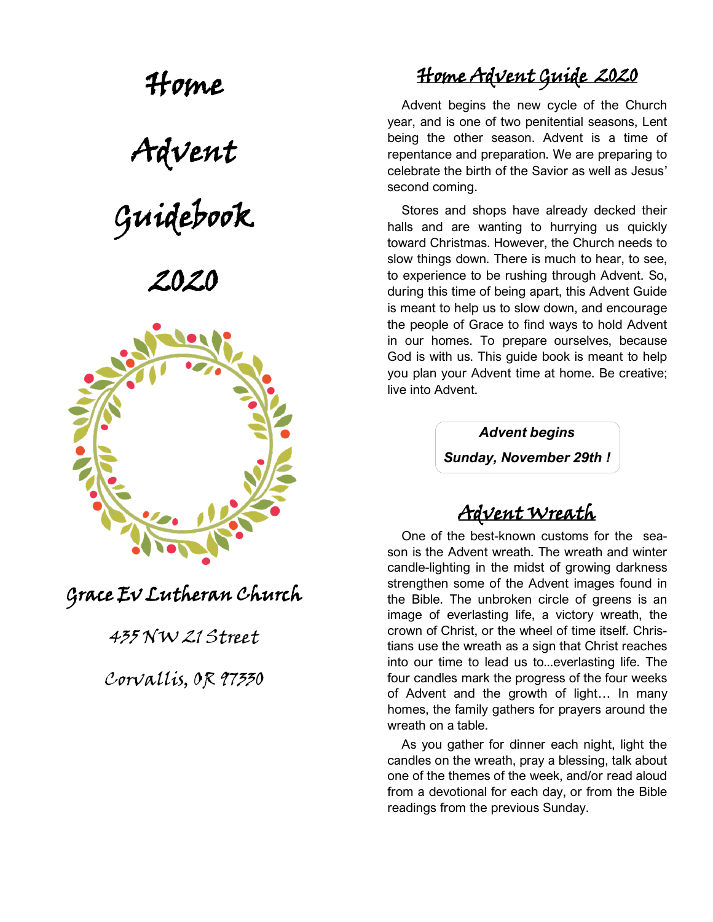Home Advent Guidebook

# 2020



Grace Ev Lutheran Church

### 435 NW 21 Street

Corvallis, OR 97330

# Home Advent Guide 2020

 Advent begins the new cycle of the Church year, and is one of two penitential seasons, Lent being the other season. Advent is a time of repentance and preparation. We are preparing to celebrate the birth of the Savior as well as Jesus' second coming.

 Stores and shops have already decked their halls and are wanting to hurrying us quickly toward Christmas. However, the Church needs to slow things down. There is much to hear, to see, to experience to be rushing through Advent. So, during this time of being apart, this Advent Guide is meant to help us to slow down, and encourage the people of Grace to find ways to hold Advent in our homes. To prepare ourselves, because God is with us. This guide book is meant to help you plan your Advent time at home. Be creative; live into Advent.

> *Advent begins Sunday, November 29th !*

### Advent Wreath

 One of the best-known customs for the season is the Advent wreath. The wreath and winter candle-lighting in the midst of growing darkness strengthen some of the Advent images found in the Bible. The unbroken circle of greens is an image of everlasting life, a victory wreath, the crown of Christ, or the wheel of time itself. Christians use the wreath as a sign that Christ reaches into our time to lead us to...everlasting life. The four candles mark the progress of the four weeks of Advent and the growth of light… In many homes, the family gathers for prayers around the wreath on a table.

 As you gather for dinner each night, light the candles on the wreath, pray a blessing, talk about one of the themes of the week, and/or read aloud from a devotional for each day, or from the Bible readings from the previous Sunday.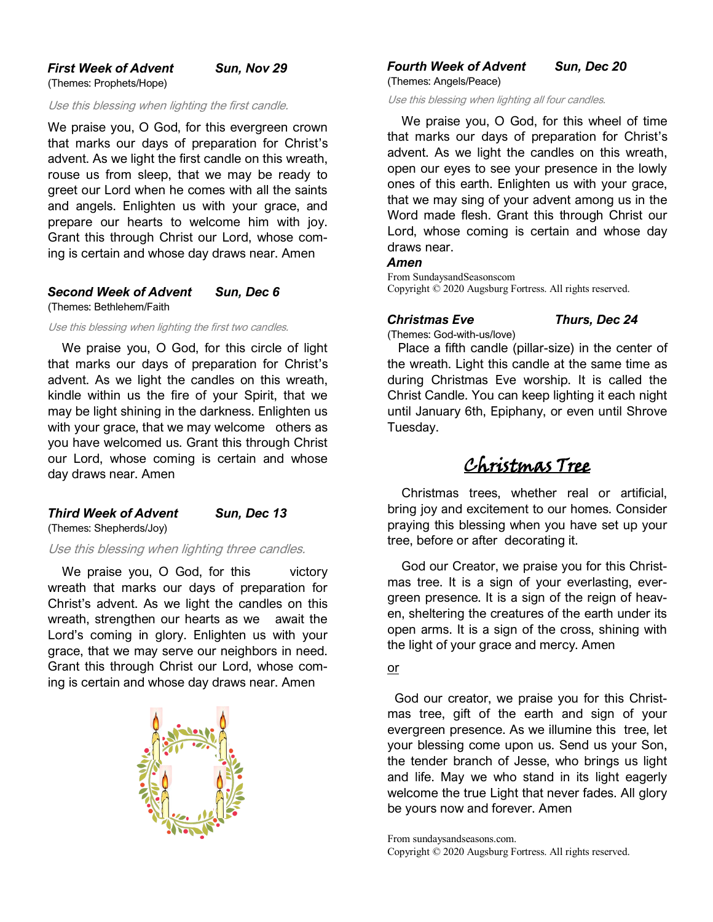#### *First Week of Advent Sun, Nov 29* (Themes: Prophets/Hope)

Use this blessing when lighting the first candle.

We praise you, O God, for this evergreen crown that marks our days of preparation for Christ's advent. As we light the first candle on this wreath, rouse us from sleep, that we may be ready to greet our Lord when he comes with all the saints and angels. Enlighten us with your grace, and prepare our hearts to welcome him with joy. Grant this through Christ our Lord, whose coming is certain and whose day draws near. Amen

#### *Second Week of Advent Sun, Dec 6* (Themes: Bethlehem/Faith

Use this blessing when lighting the first two candles.

 We praise you, O God, for this circle of light that marks our days of preparation for Christ's advent. As we light the candles on this wreath, kindle within us the fire of your Spirit, that we may be light shining in the darkness. Enlighten us with your grace, that we may welcome others as you have welcomed us. Grant this through Christ our Lord, whose coming is certain and whose day draws near. Amen

#### *Third Week of Advent Sun, Dec 13*

(Themes: Shepherds/Joy)

Use this blessing when lighting three candles.

We praise you, O God, for this victory wreath that marks our days of preparation for Christ's advent. As we light the candles on this wreath, strengthen our hearts as we await the Lord's coming in glory. Enlighten us with your grace, that we may serve our neighbors in need. Grant this through Christ our Lord, whose coming is certain and whose day draws near. Amen



*Fourth Week of Advent Sun, Dec 20* (Themes: Angels/Peace)

Use this blessing when lighting all four candles.

 We praise you, O God, for this wheel of time that marks our days of preparation for Christ's advent. As we light the candles on this wreath, open our eyes to see your presence in the lowly ones of this earth. Enlighten us with your grace, that we may sing of your advent among us in the Word made flesh. Grant this through Christ our Lord, whose coming is certain and whose day draws near.

#### *Amen*

From SundaysandSeasonscom Copyright © 2020 Augsburg Fortress. All rights reserved.

#### *Christmas Eve Thurs, Dec 24*

(Themes: God-with-us/love)

 Place a fifth candle (pillar-size) in the center of the wreath. Light this candle at the same time as during Christmas Eve worship. It is called the Christ Candle. You can keep lighting it each night until January 6th, Epiphany, or even until Shrove Tuesday.

### Christmas Tree

 Christmas trees, whether real or artificial, bring joy and excitement to our homes. Consider praying this blessing when you have set up your tree, before or after decorating it.

 God our Creator, we praise you for this Christmas tree. It is a sign of your everlasting, evergreen presence. It is a sign of the reign of heaven, sheltering the creatures of the earth under its open arms. It is a sign of the cross, shining with the light of your grace and mercy. Amen

or

 God our creator, we praise you for this Christmas tree, gift of the earth and sign of your evergreen presence. As we illumine this tree, let your blessing come upon us. Send us your Son, the tender branch of Jesse, who brings us light and life. May we who stand in its light eagerly welcome the true Light that never fades. All glory be yours now and forever. Amen

From sundaysandseasons.com. Copyright © 2020 Augsburg Fortress. All rights reserved.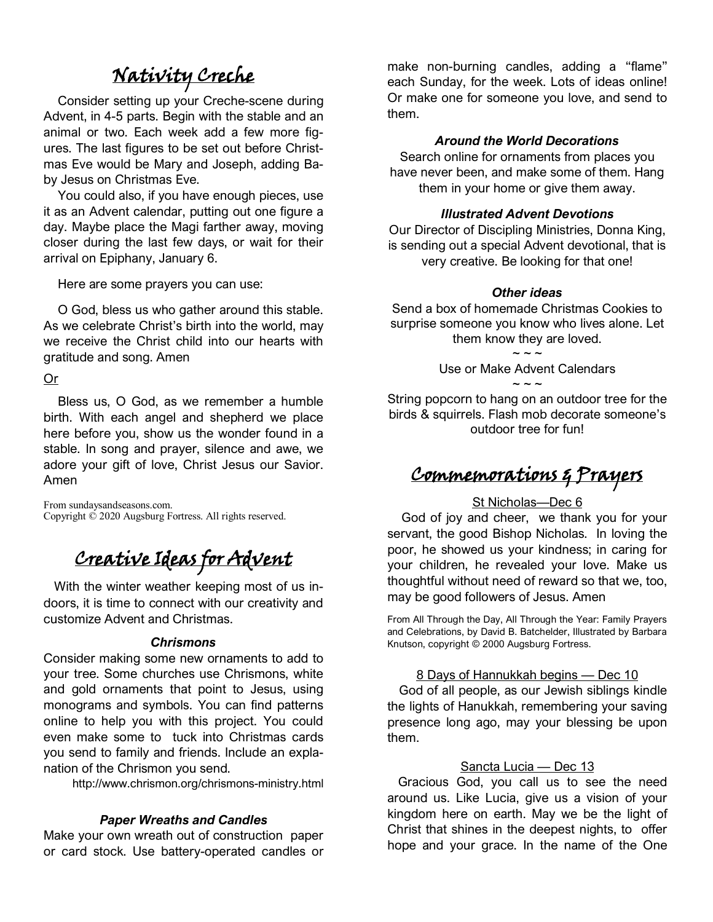# Nativity Creche

 Consider setting up your Creche-scene during Advent, in 4-5 parts. Begin with the stable and an animal or two. Each week add a few more figures. The last figures to be set out before Christmas Eve would be Mary and Joseph, adding Baby Jesus on Christmas Eve.

 You could also, if you have enough pieces, use it as an Advent calendar, putting out one figure a day. Maybe place the Magi farther away, moving closer during the last few days, or wait for their arrival on Epiphany, January 6.

Here are some prayers you can use:

 O God, bless us who gather around this stable. As we celebrate Christ's birth into the world, may we receive the Christ child into our hearts with gratitude and song. Amen

Or

 Bless us, O God, as we remember a humble birth. With each angel and shepherd we place here before you, show us the wonder found in a stable. In song and prayer, silence and awe, we adore your gift of love, Christ Jesus our Savior. Amen

From sundaysandseasons.com. Copyright © 2020 Augsburg Fortress. All rights reserved.

# Creative Ideas for Advent

 With the winter weather keeping most of us indoors, it is time to connect with our creativity and customize Advent and Christmas.

#### *Chrismons*

Consider making some new ornaments to add to your tree. Some churches use Chrismons, white and gold ornaments that point to Jesus, using monograms and symbols. You can find patterns online to help you with this project. You could even make some to tuck into Christmas cards you send to family and friends. Include an explanation of the Chrismon you send.

http://www.chrismon.org/chrismons-ministry.html

#### *Paper Wreaths and Candles*

Make your own wreath out of construction paper or card stock. Use battery-operated candles or make non-burning candles, adding a "flame" each Sunday, for the week. Lots of ideas online! Or make one for someone you love, and send to them.

#### *Around the World Decorations*

Search online for ornaments from places you have never been, and make some of them. Hang them in your home or give them away.

#### *Illustrated Advent Devotions*

Our Director of Discipling Ministries, Donna King, is sending out a special Advent devotional, that is very creative. Be looking for that one!

#### *Other ideas*

Send a box of homemade Christmas Cookies to surprise someone you know who lives alone. Let them know they are loved.

> $\sim$   $\sim$   $\sim$ Use or Make Advent Calendars ~ ~ ~

String popcorn to hang on an outdoor tree for the birds & squirrels. Flash mob decorate someone's outdoor tree for fun!

### Commemorations & Prayers

#### St Nicholas-Dec 6

 God of joy and cheer, we thank you for your servant, the good Bishop Nicholas. In loving the poor, he showed us your kindness; in caring for your children, he revealed your love. Make us thoughtful without need of reward so that we, too, may be good followers of Jesus. Amen

From All Through the Day, All Through the Year: Family Prayers and Celebrations, by David B. Batchelder, Illustrated by Barbara Knutson, copyright © 2000 Augsburg Fortress.

#### 8 Days of Hannukkah begins — Dec 10

 God of all people, as our Jewish siblings kindle the lights of Hanukkah, remembering your saving presence long ago, may your blessing be upon them.

#### Sancta Lucia — Dec 13

 Gracious God, you call us to see the need around us. Like Lucia, give us a vision of your kingdom here on earth. May we be the light of Christ that shines in the deepest nights, to offer hope and your grace. In the name of the One